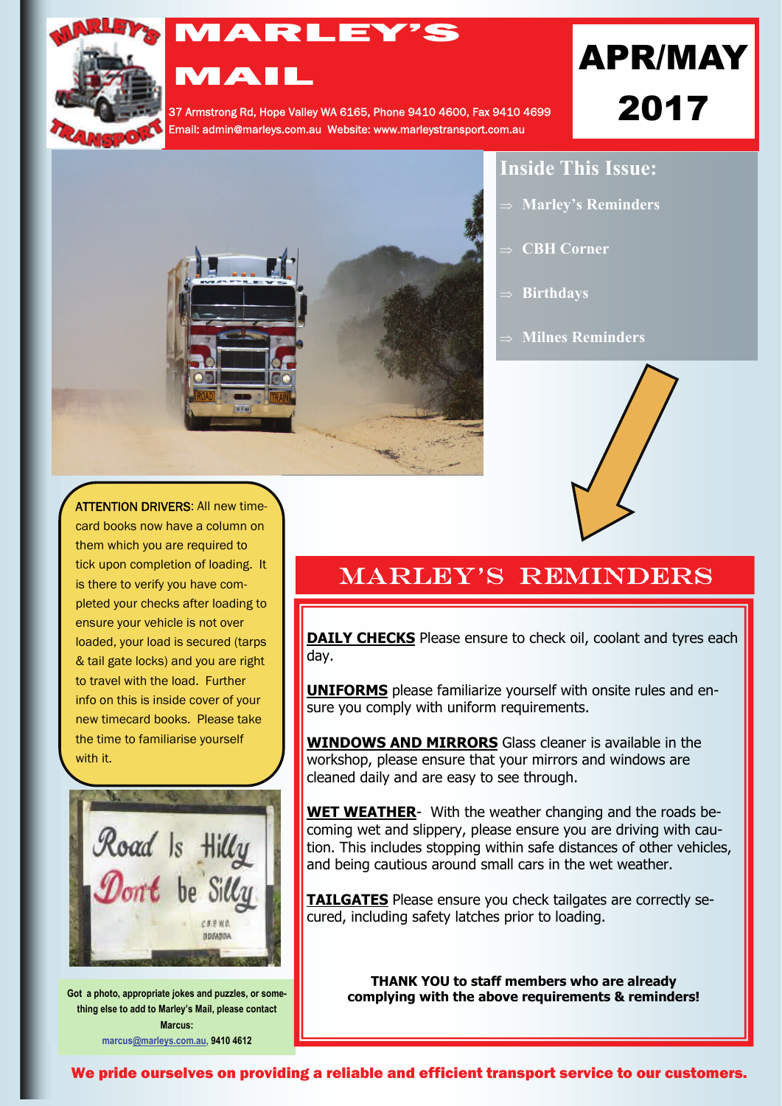

# MARLEY'S MAIL

37 Armstrong Rd, Hope Valley WA 6165, Phone 9410 4600, Fax 9410 4699 Email: admin@marleys.com.au Website: www.marleystransport.com.au

# APR/MAY 2017



### **Inside This Issue:**

- **Marley's Reminders**
- **CBH Corner**
- **Birthdays**
- **Milnes Reminders**



ATTENTION DRIVERS: All new timecard books now have a column on them which you are required to tick upon completion of loading. It is there to verify you have completed your checks after loading to ensure your vehicle is not over loaded, your load is secured (tarps & tail gate locks) and you are right to travel with the load. Further info on this is inside cover of your new timecard books. Please take the time to familiarise yourself with it.



**Got a photo, appropriate jokes and puzzles, or something else to add to Marley's Mail, please contact Marcus: marcu[s@marleys.com.au](mailto:ivana@marleys.com.au), 9410 4612**

## **MARLEY'S REMINDERS**

**DAILY CHECKS** Please ensure to check oil, coolant and tyres each day.

**UNIFORMS** please familiarize yourself with onsite rules and ensure you comply with uniform requirements.

**WINDOWS AND MIRRORS** Glass cleaner is available in the workshop, please ensure that your mirrors and windows are cleaned daily and are easy to see through.

**WET WEATHER**- With the weather changing and the roads becoming wet and slippery, please ensure you are driving with caution. This includes stopping within safe distances of other vehicles, and being cautious around small cars in the wet weather.

**TAILGATES** Please ensure you check tailgates are correctly secured, including safety latches prior to loading.

**THANK YOU to staff members who are already complying with the above requirements & reminders!** 

We pride ourselves on providing a reliable and efficient transport service to our customers.